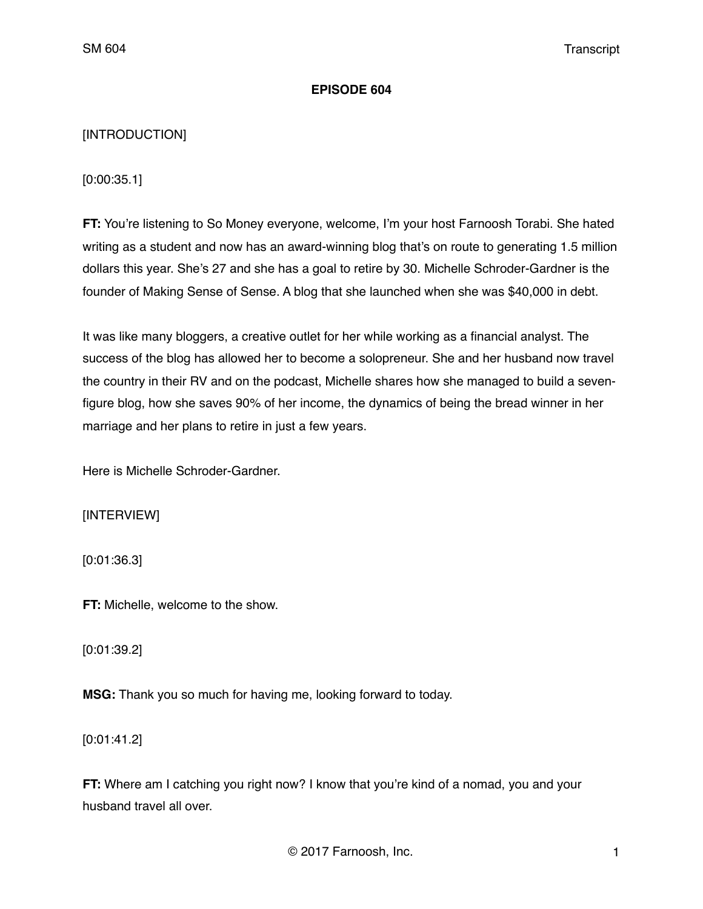## **EPISODE 604**

# [INTRODUCTION]

[0:00:35.1]

**FT:** You're listening to So Money everyone, welcome, I'm your host Farnoosh Torabi. She hated writing as a student and now has an award-winning blog that's on route to generating 1.5 million dollars this year. She's 27 and she has a goal to retire by 30. Michelle Schroder-Gardner is the founder of Making Sense of Sense. A blog that she launched when she was \$40,000 in debt.

It was like many bloggers, a creative outlet for her while working as a financial analyst. The success of the blog has allowed her to become a solopreneur. She and her husband now travel the country in their RV and on the podcast, Michelle shares how she managed to build a sevenfigure blog, how she saves 90% of her income, the dynamics of being the bread winner in her marriage and her plans to retire in just a few years.

Here is Michelle Schroder-Gardner.

[INTERVIEW]

[0:01:36.3]

**FT:** Michelle, welcome to the show.

[0:01:39.2]

**MSG:** Thank you so much for having me, looking forward to today.

[0:01:41.2]

**FT:** Where am I catching you right now? I know that you're kind of a nomad, you and your husband travel all over.

© 2017 Farnoosh, Inc. 1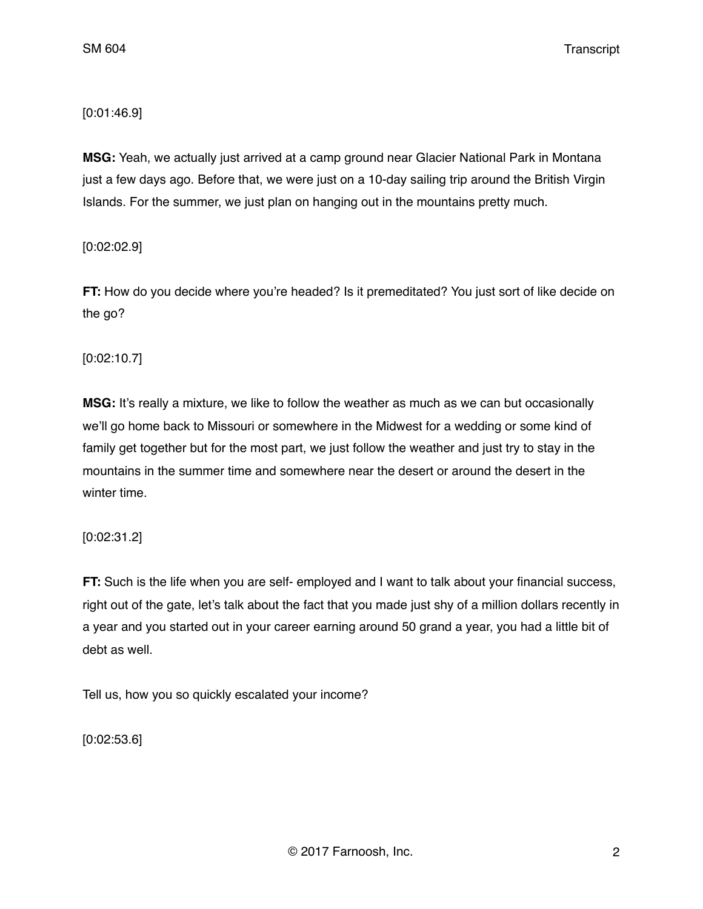[0:01:46.9]

**MSG:** Yeah, we actually just arrived at a camp ground near Glacier National Park in Montana just a few days ago. Before that, we were just on a 10-day sailing trip around the British Virgin Islands. For the summer, we just plan on hanging out in the mountains pretty much.

[0:02:02.9]

**FT:** How do you decide where you're headed? Is it premeditated? You just sort of like decide on the go?

[0:02:10.7]

**MSG:** It's really a mixture, we like to follow the weather as much as we can but occasionally we'll go home back to Missouri or somewhere in the Midwest for a wedding or some kind of family get together but for the most part, we just follow the weather and just try to stay in the mountains in the summer time and somewhere near the desert or around the desert in the winter time.

[0:02:31.2]

**FT:** Such is the life when you are self- employed and I want to talk about your financial success, right out of the gate, let's talk about the fact that you made just shy of a million dollars recently in a year and you started out in your career earning around 50 grand a year, you had a little bit of debt as well.

Tell us, how you so quickly escalated your income?

[0:02:53.6]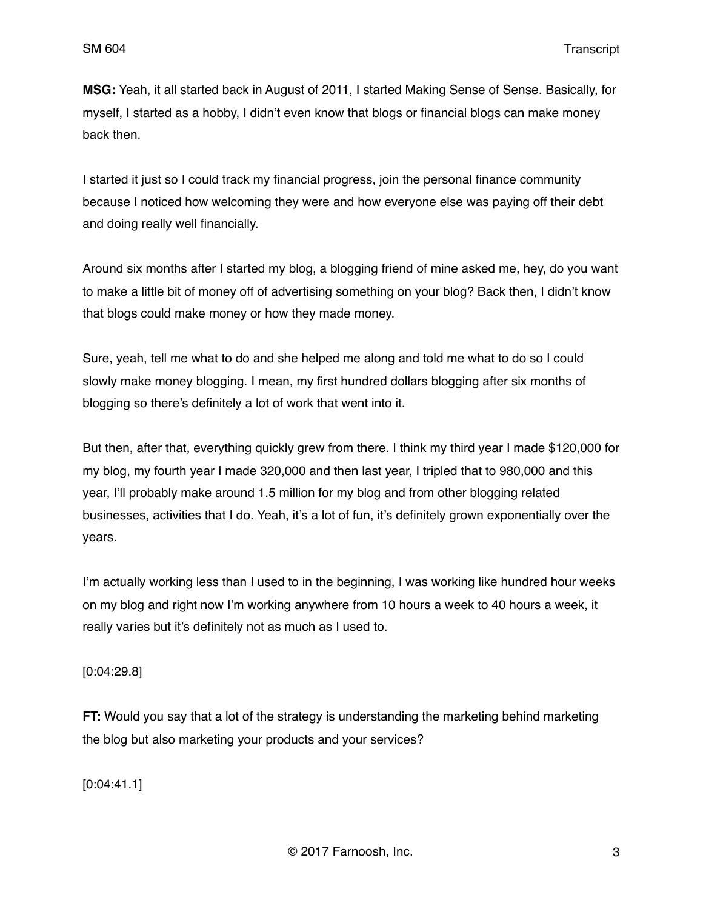**MSG:** Yeah, it all started back in August of 2011, I started Making Sense of Sense. Basically, for myself, I started as a hobby, I didn't even know that blogs or financial blogs can make money back then.

I started it just so I could track my financial progress, join the personal finance community because I noticed how welcoming they were and how everyone else was paying off their debt and doing really well financially.

Around six months after I started my blog, a blogging friend of mine asked me, hey, do you want to make a little bit of money off of advertising something on your blog? Back then, I didn't know that blogs could make money or how they made money.

Sure, yeah, tell me what to do and she helped me along and told me what to do so I could slowly make money blogging. I mean, my first hundred dollars blogging after six months of blogging so there's definitely a lot of work that went into it.

But then, after that, everything quickly grew from there. I think my third year I made \$120,000 for my blog, my fourth year I made 320,000 and then last year, I tripled that to 980,000 and this year, I'll probably make around 1.5 million for my blog and from other blogging related businesses, activities that I do. Yeah, it's a lot of fun, it's definitely grown exponentially over the years.

I'm actually working less than I used to in the beginning, I was working like hundred hour weeks on my blog and right now I'm working anywhere from 10 hours a week to 40 hours a week, it really varies but it's definitely not as much as I used to.

## [0:04:29.8]

**FT:** Would you say that a lot of the strategy is understanding the marketing behind marketing the blog but also marketing your products and your services?

[0:04:41.1]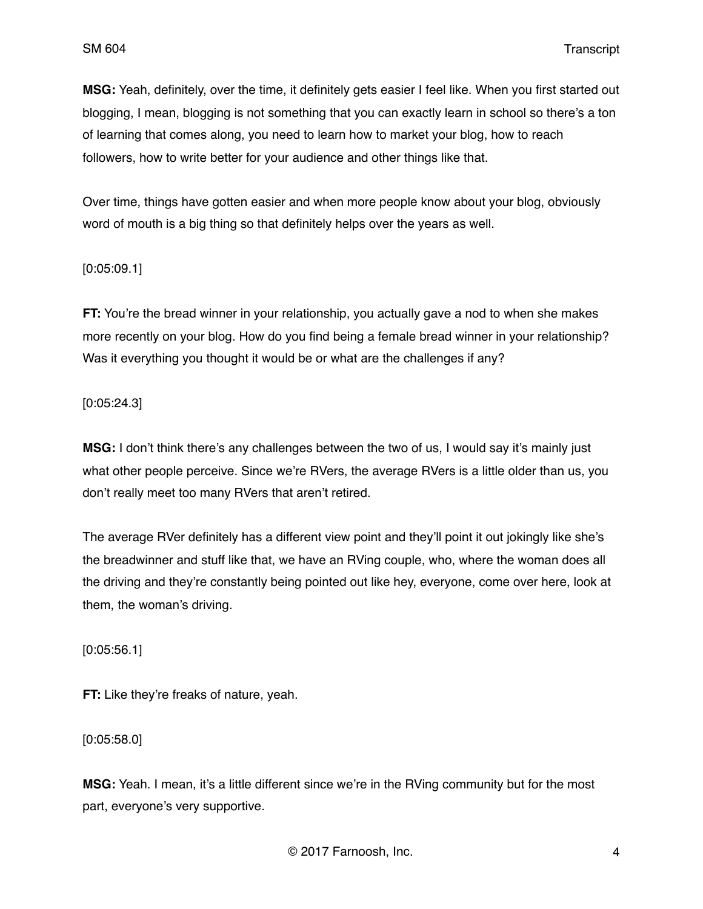**MSG:** Yeah, definitely, over the time, it definitely gets easier I feel like. When you first started out blogging, I mean, blogging is not something that you can exactly learn in school so there's a ton of learning that comes along, you need to learn how to market your blog, how to reach followers, how to write better for your audience and other things like that.

Over time, things have gotten easier and when more people know about your blog, obviously word of mouth is a big thing so that definitely helps over the years as well.

## [0:05:09.1]

**FT:** You're the bread winner in your relationship, you actually gave a nod to when she makes more recently on your blog. How do you find being a female bread winner in your relationship? Was it everything you thought it would be or what are the challenges if any?

[0:05:24.3]

**MSG:** I don't think there's any challenges between the two of us, I would say it's mainly just what other people perceive. Since we're RVers, the average RVers is a little older than us, you don't really meet too many RVers that aren't retired.

The average RVer definitely has a different view point and they'll point it out jokingly like she's the breadwinner and stuff like that, we have an RVing couple, who, where the woman does all the driving and they're constantly being pointed out like hey, everyone, come over here, look at them, the woman's driving.

[0:05:56.1]

**FT:** Like they're freaks of nature, yeah.

[0:05:58.0]

**MSG:** Yeah. I mean, it's a little different since we're in the RVing community but for the most part, everyone's very supportive.

© 2017 Farnoosh, Inc. 4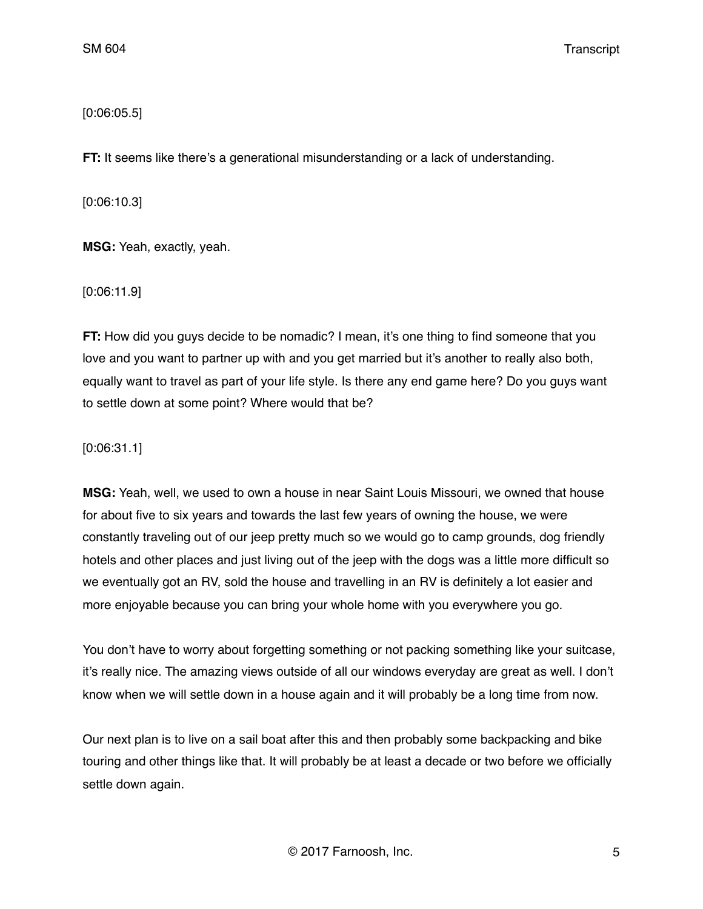[0:06:05.5]

**FT:** It seems like there's a generational misunderstanding or a lack of understanding.

[0:06:10.3]

**MSG:** Yeah, exactly, yeah.

[0:06:11.9]

**FT:** How did you guys decide to be nomadic? I mean, it's one thing to find someone that you love and you want to partner up with and you get married but it's another to really also both, equally want to travel as part of your life style. Is there any end game here? Do you guys want to settle down at some point? Where would that be?

[0:06:31.1]

**MSG:** Yeah, well, we used to own a house in near Saint Louis Missouri, we owned that house for about five to six years and towards the last few years of owning the house, we were constantly traveling out of our jeep pretty much so we would go to camp grounds, dog friendly hotels and other places and just living out of the jeep with the dogs was a little more difficult so we eventually got an RV, sold the house and travelling in an RV is definitely a lot easier and more enjoyable because you can bring your whole home with you everywhere you go.

You don't have to worry about forgetting something or not packing something like your suitcase, it's really nice. The amazing views outside of all our windows everyday are great as well. I don't know when we will settle down in a house again and it will probably be a long time from now.

Our next plan is to live on a sail boat after this and then probably some backpacking and bike touring and other things like that. It will probably be at least a decade or two before we officially settle down again.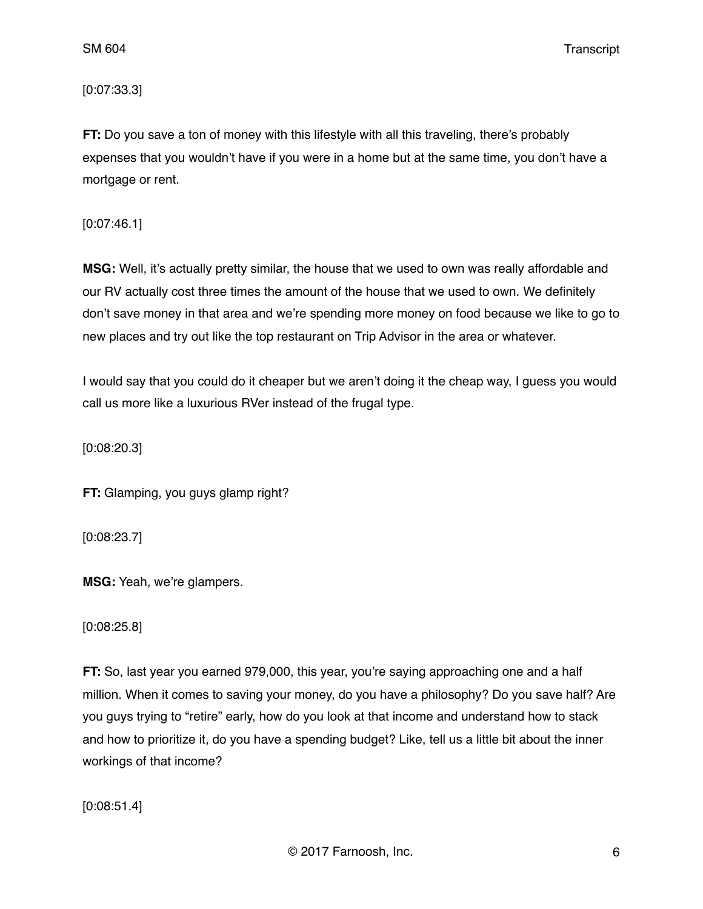[0:07:33.3]

**FT:** Do you save a ton of money with this lifestyle with all this traveling, there's probably expenses that you wouldn't have if you were in a home but at the same time, you don't have a mortgage or rent.

[0:07:46.1]

**MSG:** Well, it's actually pretty similar, the house that we used to own was really affordable and our RV actually cost three times the amount of the house that we used to own. We definitely don't save money in that area and we're spending more money on food because we like to go to new places and try out like the top restaurant on Trip Advisor in the area or whatever.

I would say that you could do it cheaper but we aren't doing it the cheap way, I guess you would call us more like a luxurious RVer instead of the frugal type.

[0:08:20.3]

**FT:** Glamping, you guys glamp right?

[0:08:23.7]

**MSG:** Yeah, we're glampers.

[0:08:25.8]

**FT:** So, last year you earned 979,000, this year, you're saying approaching one and a half million. When it comes to saving your money, do you have a philosophy? Do you save half? Are you guys trying to "retire" early, how do you look at that income and understand how to stack and how to prioritize it, do you have a spending budget? Like, tell us a little bit about the inner workings of that income?

[0:08:51.4]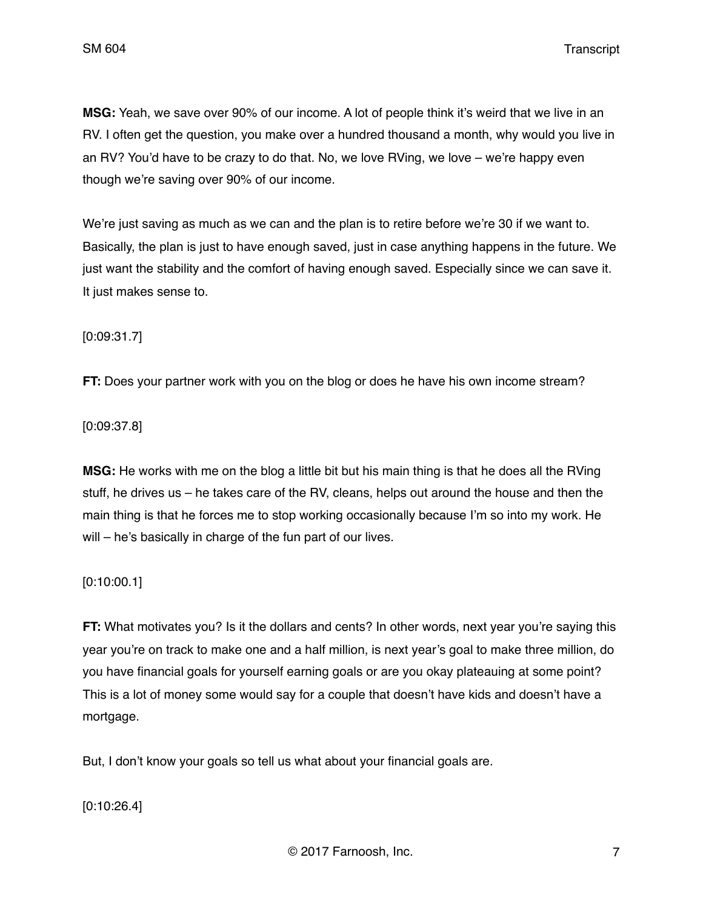**MSG:** Yeah, we save over 90% of our income. A lot of people think it's weird that we live in an RV. I often get the question, you make over a hundred thousand a month, why would you live in an RV? You'd have to be crazy to do that. No, we love RVing, we love – we're happy even though we're saving over 90% of our income.

We're just saving as much as we can and the plan is to retire before we're 30 if we want to. Basically, the plan is just to have enough saved, just in case anything happens in the future. We just want the stability and the comfort of having enough saved. Especially since we can save it. It just makes sense to.

[0:09:31.7]

**FT:** Does your partner work with you on the blog or does he have his own income stream?

[0:09:37.8]

**MSG:** He works with me on the blog a little bit but his main thing is that he does all the RVing stuff, he drives us – he takes care of the RV, cleans, helps out around the house and then the main thing is that he forces me to stop working occasionally because I'm so into my work. He will – he's basically in charge of the fun part of our lives.

[0:10:00.1]

**FT:** What motivates you? Is it the dollars and cents? In other words, next year you're saying this year you're on track to make one and a half million, is next year's goal to make three million, do you have financial goals for yourself earning goals or are you okay plateauing at some point? This is a lot of money some would say for a couple that doesn't have kids and doesn't have a mortgage.

But, I don't know your goals so tell us what about your financial goals are.

[0:10:26.4]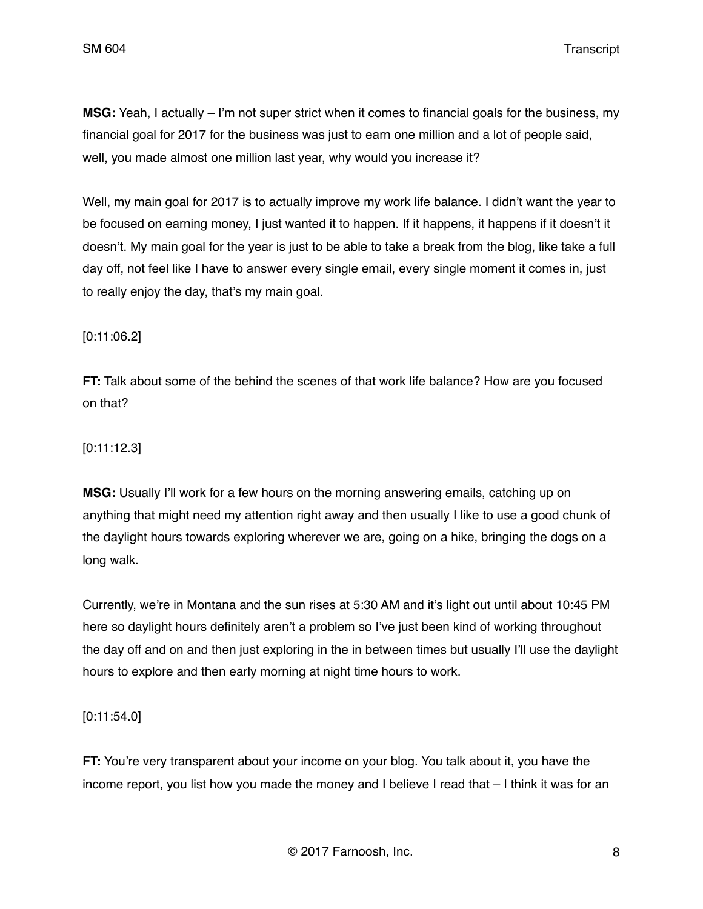**MSG:** Yeah, I actually – I'm not super strict when it comes to financial goals for the business, my financial goal for 2017 for the business was just to earn one million and a lot of people said, well, you made almost one million last year, why would you increase it?

Well, my main goal for 2017 is to actually improve my work life balance. I didn't want the year to be focused on earning money, I just wanted it to happen. If it happens, it happens if it doesn't it doesn't. My main goal for the year is just to be able to take a break from the blog, like take a full day off, not feel like I have to answer every single email, every single moment it comes in, just to really enjoy the day, that's my main goal.

## [0:11:06.2]

**FT:** Talk about some of the behind the scenes of that work life balance? How are you focused on that?

## [0:11:12.3]

**MSG:** Usually I'll work for a few hours on the morning answering emails, catching up on anything that might need my attention right away and then usually I like to use a good chunk of the daylight hours towards exploring wherever we are, going on a hike, bringing the dogs on a long walk.

Currently, we're in Montana and the sun rises at 5:30 AM and it's light out until about 10:45 PM here so daylight hours definitely aren't a problem so I've just been kind of working throughout the day off and on and then just exploring in the in between times but usually I'll use the daylight hours to explore and then early morning at night time hours to work.

## [0:11:54.0]

**FT:** You're very transparent about your income on your blog. You talk about it, you have the income report, you list how you made the money and I believe I read that – I think it was for an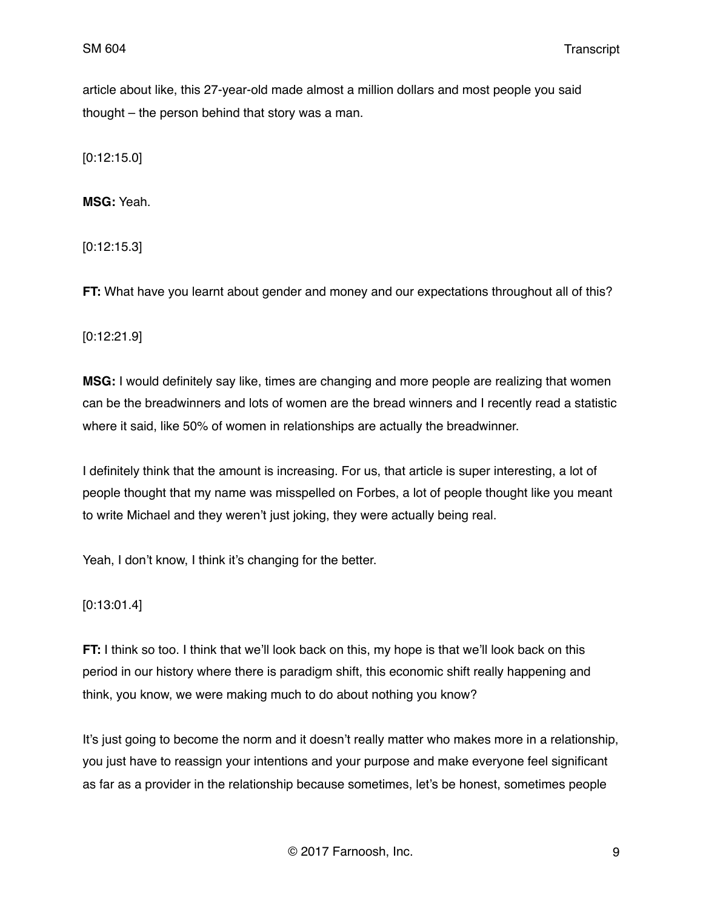article about like, this 27-year-old made almost a million dollars and most people you said thought – the person behind that story was a man.

[0:12:15.0]

**MSG:** Yeah.

[0:12:15.3]

**FT:** What have you learnt about gender and money and our expectations throughout all of this?

[0:12:21.9]

**MSG:** I would definitely say like, times are changing and more people are realizing that women can be the breadwinners and lots of women are the bread winners and I recently read a statistic where it said, like 50% of women in relationships are actually the breadwinner.

I definitely think that the amount is increasing. For us, that article is super interesting, a lot of people thought that my name was misspelled on Forbes, a lot of people thought like you meant to write Michael and they weren't just joking, they were actually being real.

Yeah, I don't know, I think it's changing for the better.

[0:13:01.4]

**FT:** I think so too. I think that we'll look back on this, my hope is that we'll look back on this period in our history where there is paradigm shift, this economic shift really happening and think, you know, we were making much to do about nothing you know?

It's just going to become the norm and it doesn't really matter who makes more in a relationship, you just have to reassign your intentions and your purpose and make everyone feel significant as far as a provider in the relationship because sometimes, let's be honest, sometimes people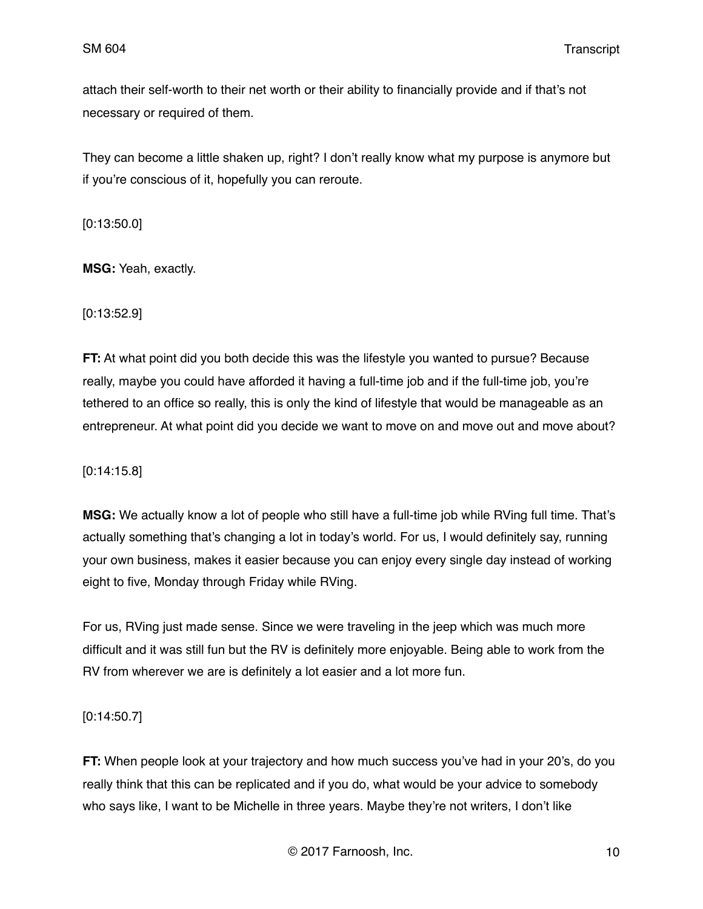attach their self-worth to their net worth or their ability to financially provide and if that's not necessary or required of them.

They can become a little shaken up, right? I don't really know what my purpose is anymore but if you're conscious of it, hopefully you can reroute.

[0:13:50.0]

**MSG:** Yeah, exactly.

[0:13:52.9]

**FT:** At what point did you both decide this was the lifestyle you wanted to pursue? Because really, maybe you could have afforded it having a full-time job and if the full-time job, you're tethered to an office so really, this is only the kind of lifestyle that would be manageable as an entrepreneur. At what point did you decide we want to move on and move out and move about?

[0:14:15.8]

**MSG:** We actually know a lot of people who still have a full-time job while RVing full time. That's actually something that's changing a lot in today's world. For us, I would definitely say, running your own business, makes it easier because you can enjoy every single day instead of working eight to five, Monday through Friday while RVing.

For us, RVing just made sense. Since we were traveling in the jeep which was much more difficult and it was still fun but the RV is definitely more enjoyable. Being able to work from the RV from wherever we are is definitely a lot easier and a lot more fun.

[0:14:50.7]

**FT:** When people look at your trajectory and how much success you've had in your 20's, do you really think that this can be replicated and if you do, what would be your advice to somebody who says like, I want to be Michelle in three years. Maybe they're not writers, I don't like

© 2017 Farnoosh, Inc. 10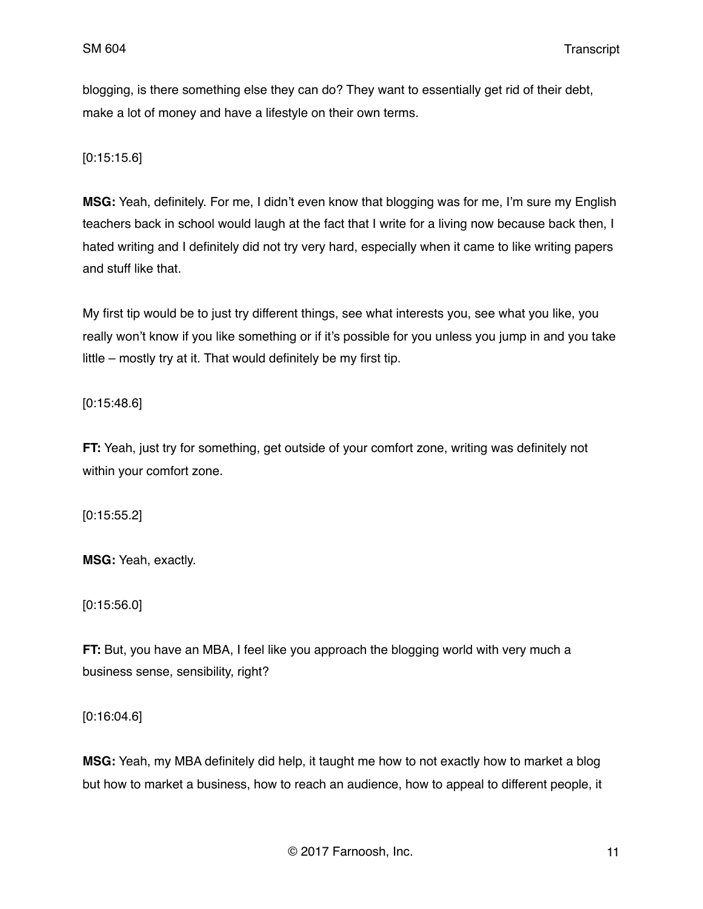blogging, is there something else they can do? They want to essentially get rid of their debt, make a lot of money and have a lifestyle on their own terms.

[0:15:15.6]

**MSG:** Yeah, definitely. For me, I didn't even know that blogging was for me, I'm sure my English teachers back in school would laugh at the fact that I write for a living now because back then, I hated writing and I definitely did not try very hard, especially when it came to like writing papers and stuff like that.

My first tip would be to just try different things, see what interests you, see what you like, you really won't know if you like something or if it's possible for you unless you jump in and you take little – mostly try at it. That would definitely be my first tip.

[0:15:48.6]

**FT:** Yeah, just try for something, get outside of your comfort zone, writing was definitely not within your comfort zone.

[0:15:55.2]

**MSG:** Yeah, exactly.

[0:15:56.0]

**FT:** But, you have an MBA, I feel like you approach the blogging world with very much a business sense, sensibility, right?

[0:16:04.6]

**MSG:** Yeah, my MBA definitely did help, it taught me how to not exactly how to market a blog but how to market a business, how to reach an audience, how to appeal to different people, it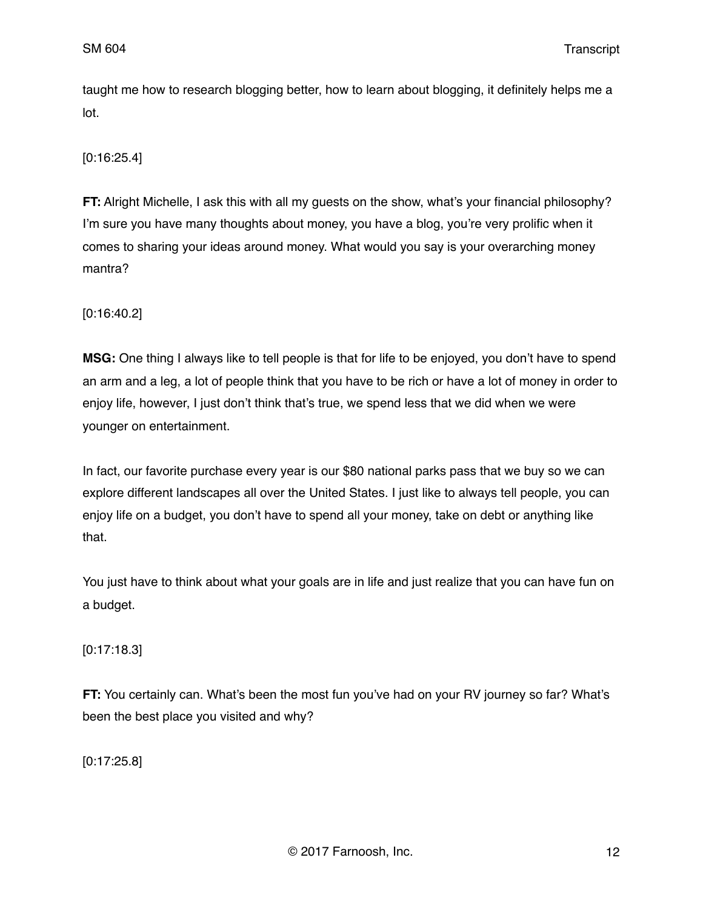taught me how to research blogging better, how to learn about blogging, it definitely helps me a lot.

[0:16:25.4]

**FT:** Alright Michelle, I ask this with all my guests on the show, what's your financial philosophy? I'm sure you have many thoughts about money, you have a blog, you're very prolific when it comes to sharing your ideas around money. What would you say is your overarching money mantra?

[0:16:40.2]

**MSG:** One thing I always like to tell people is that for life to be enjoyed, you don't have to spend an arm and a leg, a lot of people think that you have to be rich or have a lot of money in order to enjoy life, however, I just don't think that's true, we spend less that we did when we were younger on entertainment.

In fact, our favorite purchase every year is our \$80 national parks pass that we buy so we can explore different landscapes all over the United States. I just like to always tell people, you can enjoy life on a budget, you don't have to spend all your money, take on debt or anything like that.

You just have to think about what your goals are in life and just realize that you can have fun on a budget.

[0:17:18.3]

**FT:** You certainly can. What's been the most fun you've had on your RV journey so far? What's been the best place you visited and why?

[0:17:25.8]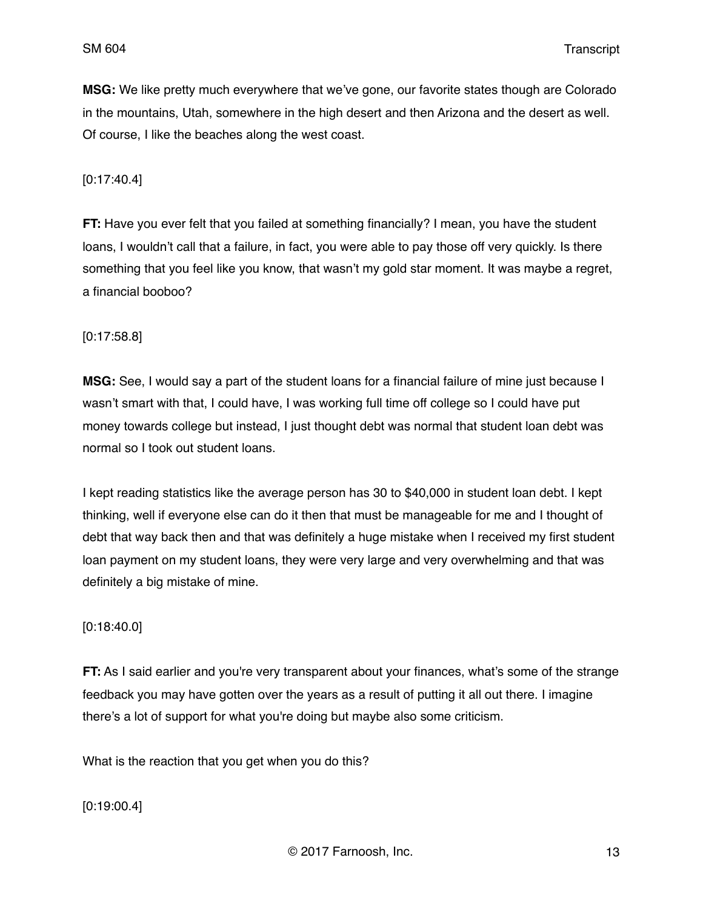**MSG:** We like pretty much everywhere that we've gone, our favorite states though are Colorado in the mountains, Utah, somewhere in the high desert and then Arizona and the desert as well. Of course, I like the beaches along the west coast.

[0:17:40.4]

**FT:** Have you ever felt that you failed at something financially? I mean, you have the student loans, I wouldn't call that a failure, in fact, you were able to pay those off very quickly. Is there something that you feel like you know, that wasn't my gold star moment. It was maybe a regret, a financial booboo?

[0:17:58.8]

**MSG:** See, I would say a part of the student loans for a financial failure of mine just because I wasn't smart with that, I could have, I was working full time off college so I could have put money towards college but instead, I just thought debt was normal that student loan debt was normal so I took out student loans.

I kept reading statistics like the average person has 30 to \$40,000 in student loan debt. I kept thinking, well if everyone else can do it then that must be manageable for me and I thought of debt that way back then and that was definitely a huge mistake when I received my first student loan payment on my student loans, they were very large and very overwhelming and that was definitely a big mistake of mine.

#### [0:18:40.0]

FT: As I said earlier and you're very transparent about your finances, what's some of the strange feedback you may have gotten over the years as a result of putting it all out there. I imagine there's a lot of support for what you're doing but maybe also some criticism.

What is the reaction that you get when you do this?

[0:19:00.4]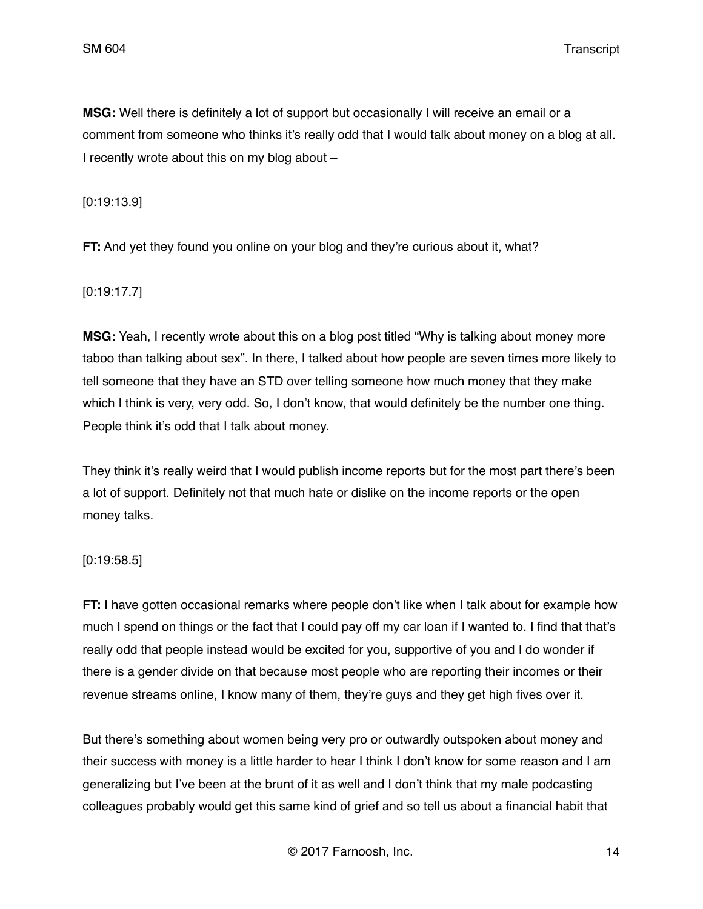**MSG:** Well there is definitely a lot of support but occasionally I will receive an email or a comment from someone who thinks it's really odd that I would talk about money on a blog at all. I recently wrote about this on my blog about –

[0:19:13.9]

**FT:** And yet they found you online on your blog and they're curious about it, what?

[0:19:17.7]

**MSG:** Yeah, I recently wrote about this on a blog post titled "Why is talking about money more taboo than talking about sex". In there, I talked about how people are seven times more likely to tell someone that they have an STD over telling someone how much money that they make which I think is very, very odd. So, I don't know, that would definitely be the number one thing. People think it's odd that I talk about money.

They think it's really weird that I would publish income reports but for the most part there's been a lot of support. Definitely not that much hate or dislike on the income reports or the open money talks.

#### [0:19:58.5]

**FT:** I have gotten occasional remarks where people don't like when I talk about for example how much I spend on things or the fact that I could pay off my car loan if I wanted to. I find that that's really odd that people instead would be excited for you, supportive of you and I do wonder if there is a gender divide on that because most people who are reporting their incomes or their revenue streams online, I know many of them, they're guys and they get high fives over it.

But there's something about women being very pro or outwardly outspoken about money and their success with money is a little harder to hear I think I don't know for some reason and I am generalizing but I've been at the brunt of it as well and I don't think that my male podcasting colleagues probably would get this same kind of grief and so tell us about a financial habit that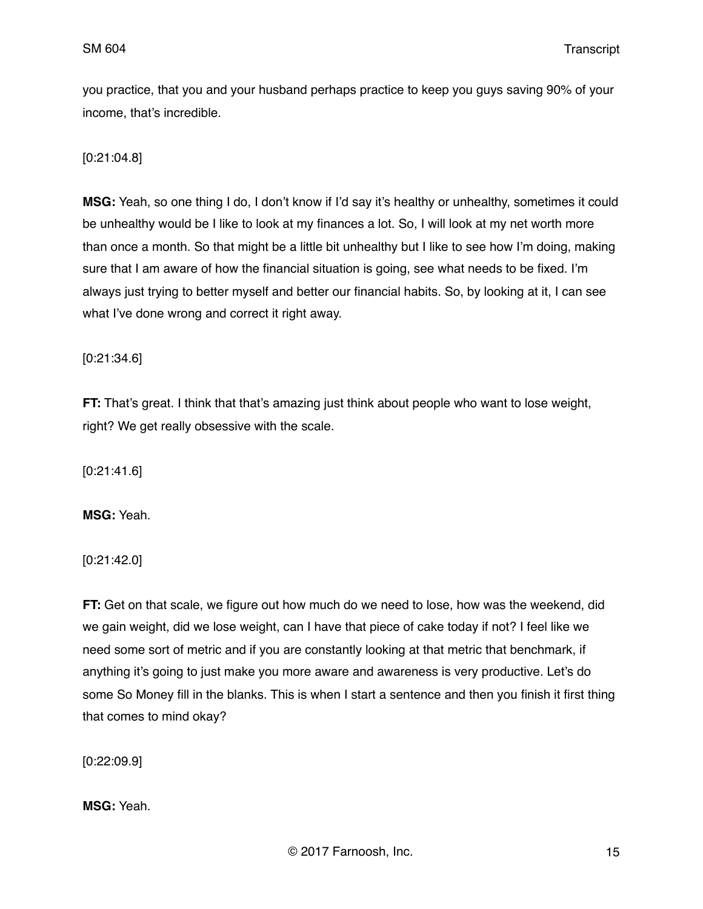you practice, that you and your husband perhaps practice to keep you guys saving 90% of your income, that's incredible.

## [0:21:04.8]

**MSG:** Yeah, so one thing I do, I don't know if I'd say it's healthy or unhealthy, sometimes it could be unhealthy would be I like to look at my finances a lot. So, I will look at my net worth more than once a month. So that might be a little bit unhealthy but I like to see how I'm doing, making sure that I am aware of how the financial situation is going, see what needs to be fixed. I'm always just trying to better myself and better our financial habits. So, by looking at it, I can see what I've done wrong and correct it right away.

## [0:21:34.6]

**FT:** That's great. I think that that's amazing just think about people who want to lose weight, right? We get really obsessive with the scale.

[0:21:41.6]

**MSG:** Yeah.

[0:21:42.0]

**FT:** Get on that scale, we figure out how much do we need to lose, how was the weekend, did we gain weight, did we lose weight, can I have that piece of cake today if not? I feel like we need some sort of metric and if you are constantly looking at that metric that benchmark, if anything it's going to just make you more aware and awareness is very productive. Let's do some So Money fill in the blanks. This is when I start a sentence and then you finish it first thing that comes to mind okay?

[0:22:09.9]

**MSG:** Yeah.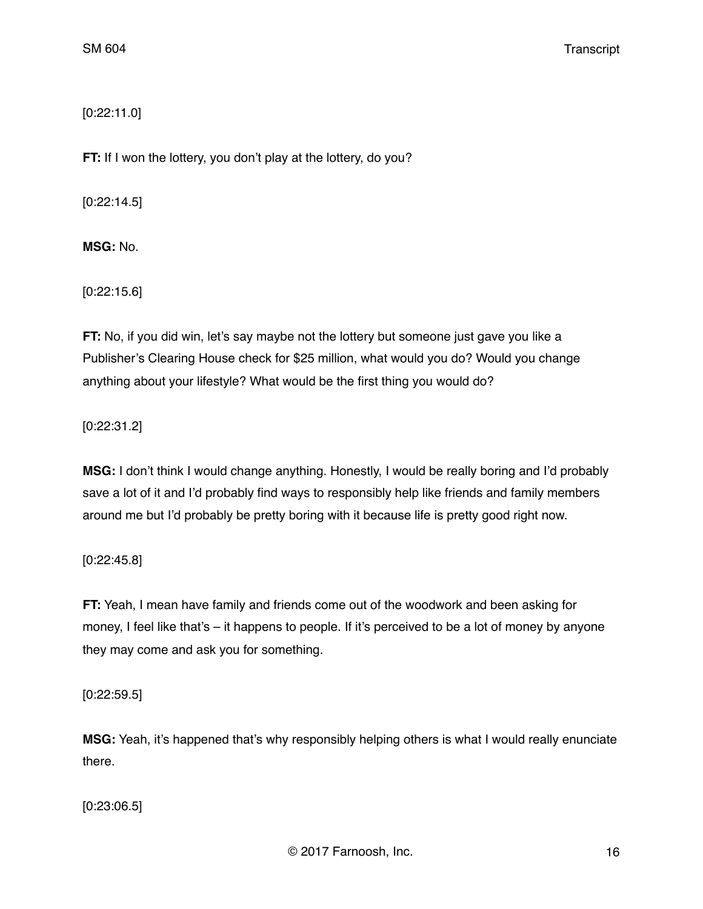[0:22:11.0]

**FT:** If I won the lottery, you don't play at the lottery, do you?

[0:22:14.5]

**MSG:** No.

[0:22:15.6]

**FT:** No, if you did win, let's say maybe not the lottery but someone just gave you like a Publisher's Clearing House check for \$25 million, what would you do? Would you change anything about your lifestyle? What would be the first thing you would do?

[0:22:31.2]

**MSG:** I don't think I would change anything. Honestly, I would be really boring and I'd probably save a lot of it and I'd probably find ways to responsibly help like friends and family members around me but I'd probably be pretty boring with it because life is pretty good right now.

[0:22:45.8]

**FT:** Yeah, I mean have family and friends come out of the woodwork and been asking for money, I feel like that's – it happens to people. If it's perceived to be a lot of money by anyone they may come and ask you for something.

[0:22:59.5]

**MSG:** Yeah, it's happened that's why responsibly helping others is what I would really enunciate there.

[0:23:06.5]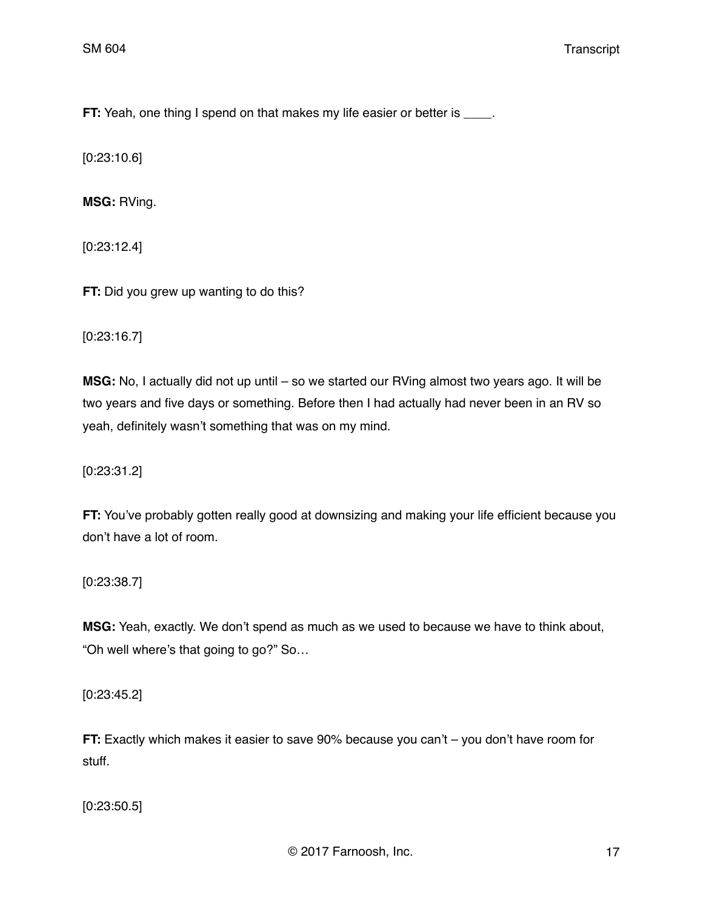**FT:** Yeah, one thing I spend on that makes my life easier or better is \_\_\_\_.

[0:23:10.6]

**MSG:** RVing.

[0:23:12.4]

**FT:** Did you grew up wanting to do this?

[0:23:16.7]

**MSG:** No, I actually did not up until – so we started our RVing almost two years ago. It will be two years and five days or something. Before then I had actually had never been in an RV so yeah, definitely wasn't something that was on my mind.

[0:23:31.2]

**FT:** You've probably gotten really good at downsizing and making your life efficient because you don't have a lot of room.

[0:23:38.7]

**MSG:** Yeah, exactly. We don't spend as much as we used to because we have to think about, "Oh well where's that going to go?" So…

[0:23:45.2]

**FT:** Exactly which makes it easier to save 90% because you can't – you don't have room for stuff.

[0:23:50.5]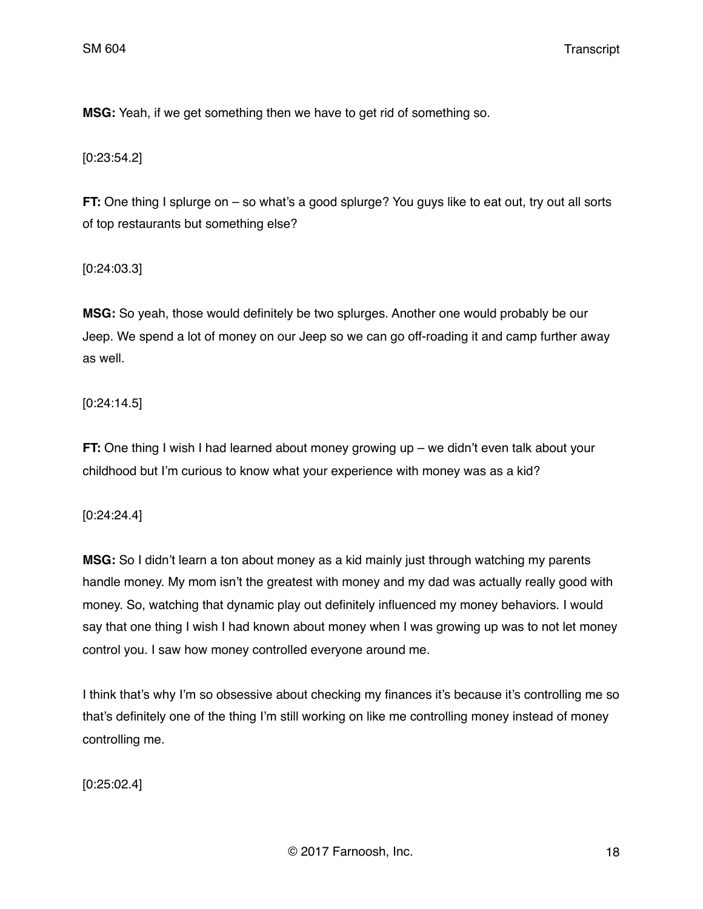**MSG:** Yeah, if we get something then we have to get rid of something so.

[0:23:54.2]

**FT:** One thing I splurge on – so what's a good splurge? You guys like to eat out, try out all sorts of top restaurants but something else?

[0:24:03.3]

**MSG:** So yeah, those would definitely be two splurges. Another one would probably be our Jeep. We spend a lot of money on our Jeep so we can go off-roading it and camp further away as well.

[0:24:14.5]

**FT:** One thing I wish I had learned about money growing up – we didn't even talk about your childhood but I'm curious to know what your experience with money was as a kid?

[0:24:24.4]

**MSG:** So I didn't learn a ton about money as a kid mainly just through watching my parents handle money. My mom isn't the greatest with money and my dad was actually really good with money. So, watching that dynamic play out definitely influenced my money behaviors. I would say that one thing I wish I had known about money when I was growing up was to not let money control you. I saw how money controlled everyone around me.

I think that's why I'm so obsessive about checking my finances it's because it's controlling me so that's definitely one of the thing I'm still working on like me controlling money instead of money controlling me.

[0:25:02.4]